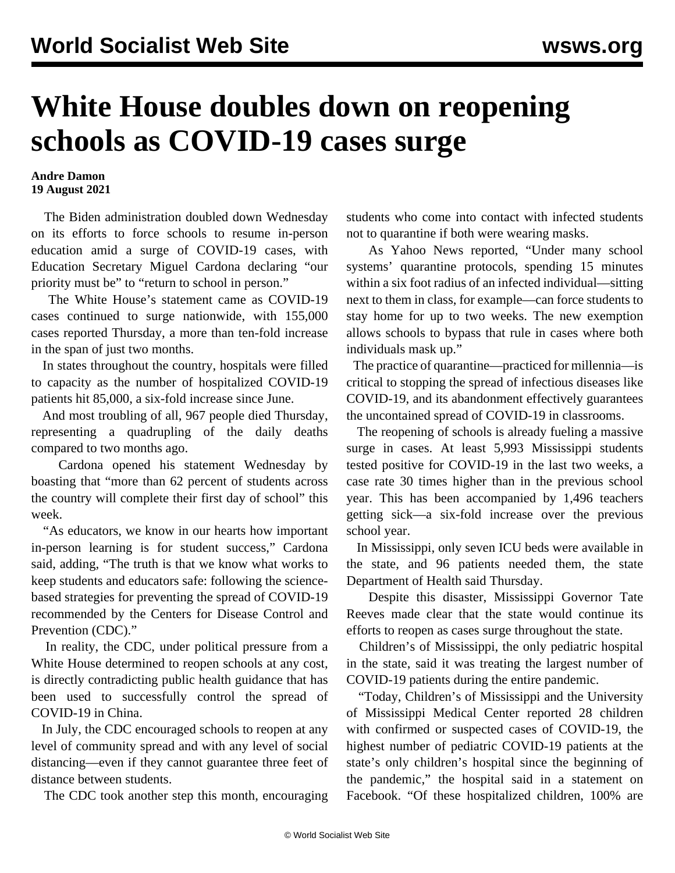## **White House doubles down on reopening schools as COVID-19 cases surge**

## **Andre Damon 19 August 2021**

 The Biden administration doubled down Wednesday on its efforts to force schools to resume in-person education amid a surge of COVID-19 cases, with Education Secretary Miguel Cardona declaring "our priority must be" to "return to school in person."

 The White House's statement came as COVID-19 cases continued to surge nationwide, with 155,000 cases reported Thursday, a more than ten-fold increase in the span of just two months.

 In states throughout the country, hospitals were filled to capacity as the number of hospitalized COVID-19 patients hit 85,000, a six-fold increase since June.

 And most troubling of all, 967 people died Thursday, representing a quadrupling of the daily deaths compared to two months ago.

 Cardona opened his statement Wednesday by boasting that "more than 62 percent of students across the country will complete their first day of school" this week.

 "As educators, we know in our hearts how important in-person learning is for student success," Cardona said, adding, "The truth is that we know what works to keep students and educators safe: following the sciencebased strategies for preventing the spread of COVID-19 recommended by the Centers for Disease Control and Prevention (CDC)."

 In reality, the CDC, under political pressure from a White House determined to reopen schools at any cost, is directly contradicting public health guidance that has been used to successfully control the spread of COVID-19 in China.

 In July, the CDC encouraged schools to reopen at any level of community spread and with any level of social distancing—even if they cannot guarantee three feet of distance between students.

The CDC took another step this month, encouraging

students who come into contact with infected students not to quarantine if both were wearing masks.

 As Yahoo News reported, "Under many school systems' quarantine protocols, spending 15 minutes within a six foot radius of an infected individual—sitting next to them in class, for example—can force students to stay home for up to two weeks. The new exemption allows schools to bypass that rule in cases where both individuals mask up."

 The practice of quarantine—practiced for millennia—is critical to stopping the spread of infectious diseases like COVID-19, and its abandonment effectively guarantees the uncontained spread of COVID-19 in classrooms.

 The reopening of schools is already fueling a massive surge in cases. At least 5,993 Mississippi students tested positive for COVID-19 in the last two weeks, a case rate 30 times higher than in the previous school year. This has been accompanied by 1,496 teachers getting sick—a six-fold increase over the previous school year.

 In Mississippi, only seven ICU beds were available in the state, and 96 patients needed them, the state Department of Health said Thursday.

 Despite this disaster, Mississippi Governor Tate Reeves made clear that the state would continue its efforts to reopen as cases surge throughout the state.

 Children's of Mississippi, the only pediatric hospital in the state, said it was treating the largest number of COVID-19 patients during the entire pandemic.

 "Today, Children's of Mississippi and the University of Mississippi Medical Center reported 28 children with confirmed or suspected cases of COVID-19, the highest number of pediatric COVID-19 patients at the state's only children's hospital since the beginning of the pandemic," the hospital said in a statement on Facebook. "Of these hospitalized children, 100% are